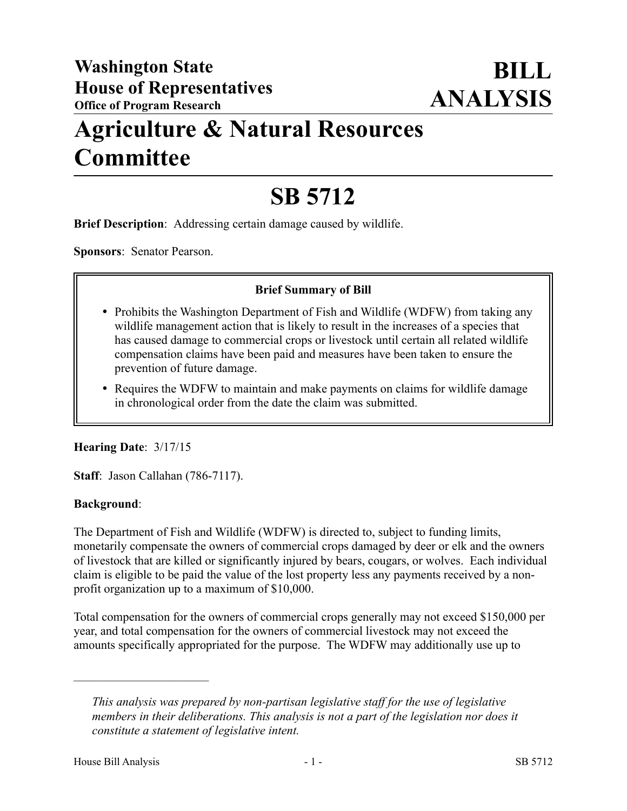# **Agriculture & Natural Resources Committee**

# **SB 5712**

**Brief Description**: Addressing certain damage caused by wildlife.

**Sponsors**: Senator Pearson.

#### **Brief Summary of Bill**

- Prohibits the Washington Department of Fish and Wildlife (WDFW) from taking any wildlife management action that is likely to result in the increases of a species that has caused damage to commercial crops or livestock until certain all related wildlife compensation claims have been paid and measures have been taken to ensure the prevention of future damage.
- Requires the WDFW to maintain and make payments on claims for wildlife damage in chronological order from the date the claim was submitted.

#### **Hearing Date**: 3/17/15

**Staff**: Jason Callahan (786-7117).

#### **Background**:

The Department of Fish and Wildlife (WDFW) is directed to, subject to funding limits, monetarily compensate the owners of commercial crops damaged by deer or elk and the owners of livestock that are killed or significantly injured by bears, cougars, or wolves. Each individual claim is eligible to be paid the value of the lost property less any payments received by a nonprofit organization up to a maximum of \$10,000.

Total compensation for the owners of commercial crops generally may not exceed \$150,000 per year, and total compensation for the owners of commercial livestock may not exceed the amounts specifically appropriated for the purpose. The WDFW may additionally use up to

––––––––––––––––––––––

*This analysis was prepared by non-partisan legislative staff for the use of legislative members in their deliberations. This analysis is not a part of the legislation nor does it constitute a statement of legislative intent.*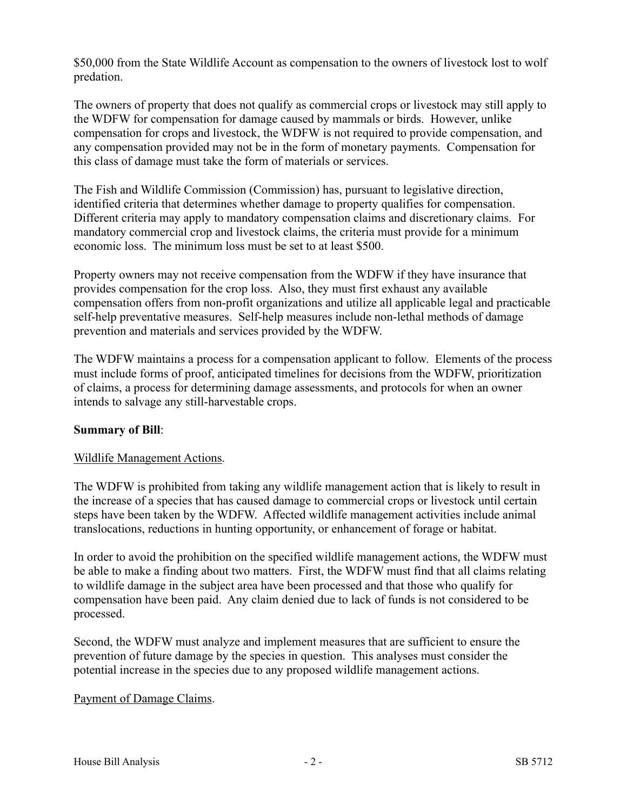\$50,000 from the State Wildlife Account as compensation to the owners of livestock lost to wolf predation.

The owners of property that does not qualify as commercial crops or livestock may still apply to the WDFW for compensation for damage caused by mammals or birds. However, unlike compensation for crops and livestock, the WDFW is not required to provide compensation, and any compensation provided may not be in the form of monetary payments. Compensation for this class of damage must take the form of materials or services.

The Fish and Wildlife Commission (Commission) has, pursuant to legislative direction, identified criteria that determines whether damage to property qualifies for compensation. Different criteria may apply to mandatory compensation claims and discretionary claims. For mandatory commercial crop and livestock claims, the criteria must provide for a minimum economic loss. The minimum loss must be set to at least \$500.

Property owners may not receive compensation from the WDFW if they have insurance that provides compensation for the crop loss. Also, they must first exhaust any available compensation offers from non-profit organizations and utilize all applicable legal and practicable self-help preventative measures. Self-help measures include non-lethal methods of damage prevention and materials and services provided by the WDFW.

The WDFW maintains a process for a compensation applicant to follow. Elements of the process must include forms of proof, anticipated timelines for decisions from the WDFW, prioritization of claims, a process for determining damage assessments, and protocols for when an owner intends to salvage any still-harvestable crops.

## **Summary of Bill**:

#### Wildlife Management Actions.

The WDFW is prohibited from taking any wildlife management action that is likely to result in the increase of a species that has caused damage to commercial crops or livestock until certain steps have been taken by the WDFW. Affected wildlife management activities include animal translocations, reductions in hunting opportunity, or enhancement of forage or habitat.

In order to avoid the prohibition on the specified wildlife management actions, the WDFW must be able to make a finding about two matters. First, the WDFW must find that all claims relating to wildlife damage in the subject area have been processed and that those who qualify for compensation have been paid. Any claim denied due to lack of funds is not considered to be processed.

Second, the WDFW must analyze and implement measures that are sufficient to ensure the prevention of future damage by the species in question. This analyses must consider the potential increase in the species due to any proposed wildlife management actions.

#### Payment of Damage Claims.